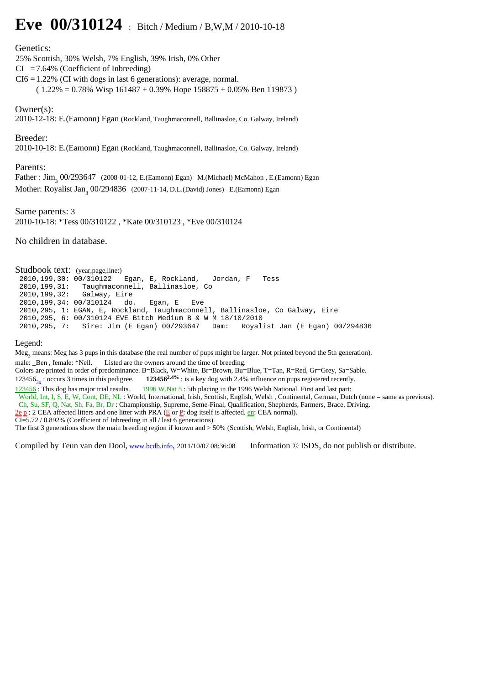# **Eve 00/310124** : Bitch / Medium / B,W,M / 2010-10-18

## Genetics:

25% Scottish, 30% Welsh, 7% English, 39% Irish, 0% Other

 $CI = 7.64\%$  (Coefficient of Inbreeding)

- $CI6 = 1.22\%$  (CI with dogs in last 6 generations): average, normal.
	- $(1.22\% = 0.78\%$  Wisp  $161487 + 0.39\%$  Hope  $158875 + 0.05\%$  Ben 119873)

## Owner(s):

2010-12-18: E.(Eamonn) Egan (Rockland, Taughmaconnell, Ballinasloe, Co. Galway, Ireland)

## Breeder:

2010-10-18: E.(Eamonn) Egan (Rockland, Taughmaconnell, Ballinasloe, Co. Galway, Ireland)

#### Parents:

Father: Jim<sub>3</sub> 00/293647 (2008-01-12, E.(Eamonn) Egan) M.(Michael) McMahon, E.(Eamonn) Egan Mother: Royalist Jan<sub>3</sub> 00/294836 (2007-11-14, D.L.(David) Jones) E.(Eamonn) Egan

Same parents: 3 2010-10-18: \*Tess 00/310122 , \*Kate 00/310123 , \*Eve 00/310124

No children in database.

**Studbook text:** (year,page,line:)<br> $2010, 199, 30: 00/310122$ Egan, E, Rockland, Jordan, F Tess 2010,199,31: Taughmaconnell, Ballinasloe, Co 2010,199,32: Galway, Eire 2010,199,34: 00/310124 do. Egan, E Eve 2010,295, 1: EGAN, E, Rockland, Taughmaconnell, Ballinasloe, Co Galway, Eire 2010,295, 6: 00/310124 EVE Bitch Medium B & W M 18/10/2010 2010,295, 7: Sire: Jim (E Egan) 00/293647 Dam: Royalist Jan (E Egan) 00/294836

#### Legend:

Meg<sub>3</sub> means: Meg has 3 pups in this database (the real number of pups might be larger. Not printed beyond the 5th generation). male: \_Ben, female: \*Nell. Listed are the owners around the time of breeding. Colors are printed in order of predominance. B=Black, W=White, Br=Brown, Bu=Blue, T=Tan, R=Red, Gr=Grey, Sa=Sable. 123456<sub>3x</sub> : occurs 3 times in this pedigree. **123456<sup>2.4%</sup>** : is a key dog with 2.4% influence on pups registered recently.<br><u>123456</u> : This dog has major trial results. **1996 W**.Nat 5 : 5th placing in the 1996 Welsh Nati 1996 W.Nat 5 : 5th placing in the 1996 Welsh National. First and last part: World, Int, I, S, E, W, Cont, DE, NL : World, International, Irish, Scottish, English, Welsh , Continental, German, Dutch (none = same as previous). Ch, Su, SF, Q, Nat, Sh, Fa, Br, Dr : Championship, Supreme, Seme-Final, Qualification, Shepherds, Farmers, Brace, Driving.  $2e p$  : 2 CEA affected litters and one litter with PRA (E or P: dog itself is affected. en: CEA normal). CI=5.72 / 0.892% (Coefficient of Inbreeding in all / last 6 generations). The first 3 generations show the main breeding region if known and > 50% (Scottish, Welsh, English, Irish, or Continental)

Compiled by Teun van den Dool, www.bcdb.info, 2011/10/07 08:36:08 Information © ISDS, do not publish or distribute.